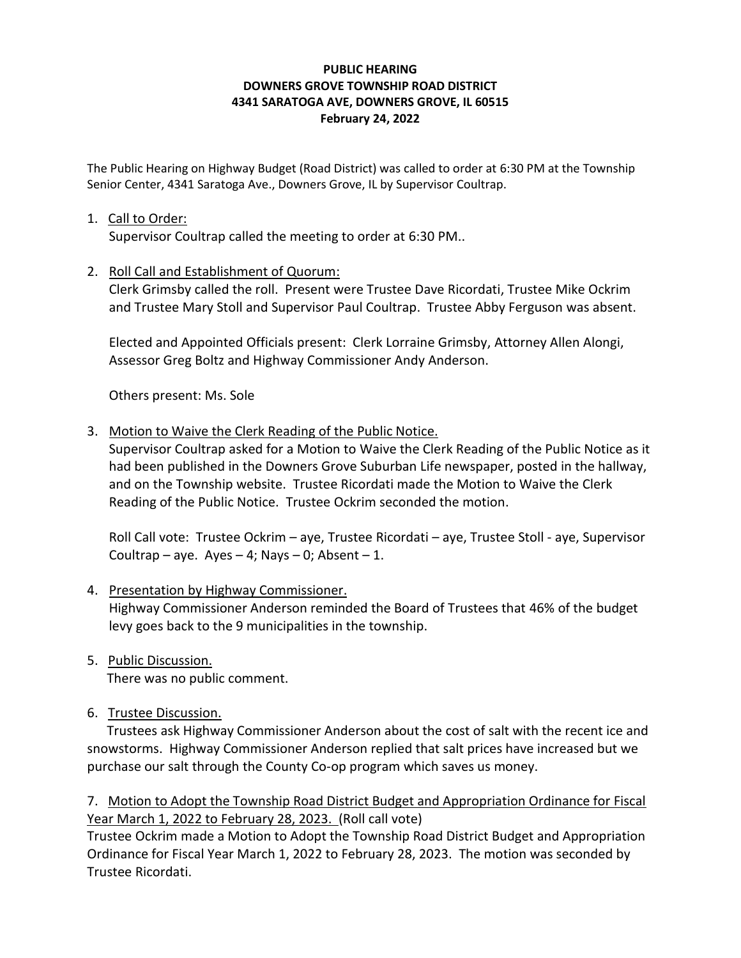## **PUBLIC HEARING DOWNERS GROVE TOWNSHIP ROAD DISTRICT 4341 SARATOGA AVE, DOWNERS GROVE, IL 60515 February 24, 2022**

The Public Hearing on Highway Budget (Road District) was called to order at 6:30 PM at the Township Senior Center, 4341 Saratoga Ave., Downers Grove, IL by Supervisor Coultrap.

## 1. Call to Order:

Supervisor Coultrap called the meeting to order at 6:30 PM..

## 2. Roll Call and Establishment of Quorum:

Clerk Grimsby called the roll. Present were Trustee Dave Ricordati, Trustee Mike Ockrim and Trustee Mary Stoll and Supervisor Paul Coultrap. Trustee Abby Ferguson was absent.

Elected and Appointed Officials present: Clerk Lorraine Grimsby, Attorney Allen Alongi, Assessor Greg Boltz and Highway Commissioner Andy Anderson.

Others present: Ms. Sole

# 3. Motion to Waive the Clerk Reading of the Public Notice.

Supervisor Coultrap asked for a Motion to Waive the Clerk Reading of the Public Notice as it had been published in the Downers Grove Suburban Life newspaper, posted in the hallway, and on the Township website. Trustee Ricordati made the Motion to Waive the Clerk Reading of the Public Notice. Trustee Ockrim seconded the motion.

Roll Call vote: Trustee Ockrim – aye, Trustee Ricordati – aye, Trustee Stoll - aye, Supervisor Coultrap – aye. Ayes – 4; Nays – 0; Absent – 1.

## 4. Presentation by Highway Commissioner.

Highway Commissioner Anderson reminded the Board of Trustees that 46% of the budget levy goes back to the 9 municipalities in the township.

5. Public Discussion.

There was no public comment.

6. Trustee Discussion.

 Trustees ask Highway Commissioner Anderson about the cost of salt with the recent ice and snowstorms. Highway Commissioner Anderson replied that salt prices have increased but we purchase our salt through the County Co-op program which saves us money.

7. Motion to Adopt the Township Road District Budget and Appropriation Ordinance for Fiscal Year March 1, 2022 to February 28, 2023. (Roll call vote)

Trustee Ockrim made a Motion to Adopt the Township Road District Budget and Appropriation Ordinance for Fiscal Year March 1, 2022 to February 28, 2023. The motion was seconded by Trustee Ricordati.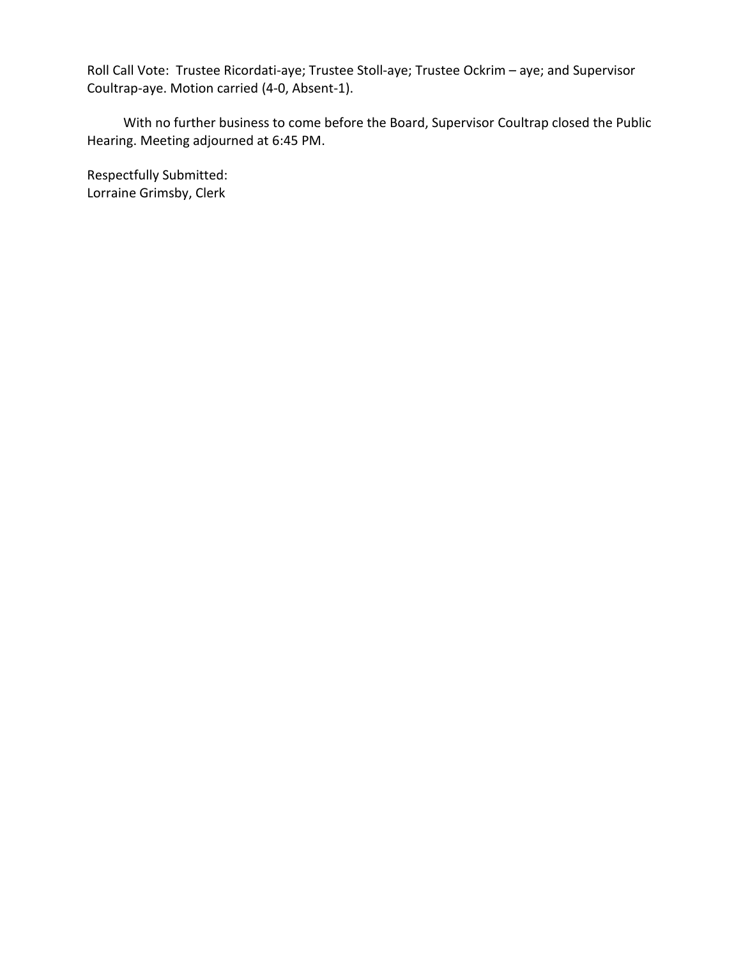Roll Call Vote: Trustee Ricordati-aye; Trustee Stoll-aye; Trustee Ockrim – aye; and Supervisor Coultrap-aye. Motion carried (4-0, Absent-1).

 With no further business to come before the Board, Supervisor Coultrap closed the Public Hearing. Meeting adjourned at 6:45 PM.

Respectfully Submitted: Lorraine Grimsby, Clerk